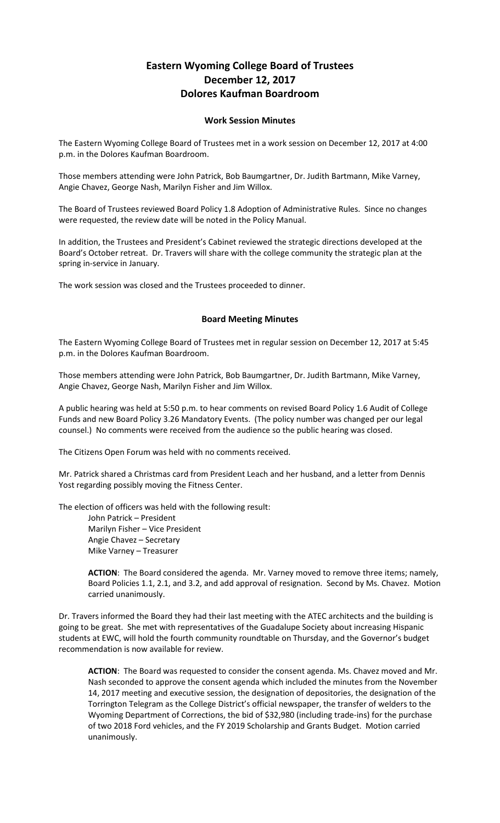## **Eastern Wyoming College Board of Trustees December 12, 2017 Dolores Kaufman Boardroom**

## **Work Session Minutes**

The Eastern Wyoming College Board of Trustees met in a work session on December 12, 2017 at 4:00 p.m. in the Dolores Kaufman Boardroom.

Those members attending were John Patrick, Bob Baumgartner, Dr. Judith Bartmann, Mike Varney, Angie Chavez, George Nash, Marilyn Fisher and Jim Willox.

The Board of Trustees reviewed Board Policy 1.8 Adoption of Administrative Rules. Since no changes were requested, the review date will be noted in the Policy Manual.

In addition, the Trustees and President's Cabinet reviewed the strategic directions developed at the Board's October retreat. Dr. Travers will share with the college community the strategic plan at the spring in-service in January.

The work session was closed and the Trustees proceeded to dinner.

## **Board Meeting Minutes**

The Eastern Wyoming College Board of Trustees met in regular session on December 12, 2017 at 5:45 p.m. in the Dolores Kaufman Boardroom.

Those members attending were John Patrick, Bob Baumgartner, Dr. Judith Bartmann, Mike Varney, Angie Chavez, George Nash, Marilyn Fisher and Jim Willox.

A public hearing was held at 5:50 p.m. to hear comments on revised Board Policy 1.6 Audit of College Funds and new Board Policy 3.26 Mandatory Events. (The policy number was changed per our legal counsel.) No comments were received from the audience so the public hearing was closed.

The Citizens Open Forum was held with no comments received.

Mr. Patrick shared a Christmas card from President Leach and her husband, and a letter from Dennis Yost regarding possibly moving the Fitness Center.

The election of officers was held with the following result:

John Patrick – President Marilyn Fisher – Vice President Angie Chavez – Secretary Mike Varney – Treasurer

**ACTION**: The Board considered the agenda. Mr. Varney moved to remove three items; namely, Board Policies 1.1, 2.1, and 3.2, and add approval of resignation. Second by Ms. Chavez. Motion carried unanimously.

Dr. Travers informed the Board they had their last meeting with the ATEC architects and the building is going to be great. She met with representatives of the Guadalupe Society about increasing Hispanic students at EWC, will hold the fourth community roundtable on Thursday, and the Governor's budget recommendation is now available for review.

**ACTION**: The Board was requested to consider the consent agenda. Ms. Chavez moved and Mr. Nash seconded to approve the consent agenda which included the minutes from the November 14, 2017 meeting and executive session, the designation of depositories, the designation of the Torrington Telegram as the College District's official newspaper, the transfer of welders to the Wyoming Department of Corrections, the bid of \$32,980 (including trade-ins) for the purchase of two 2018 Ford vehicles, and the FY 2019 Scholarship and Grants Budget. Motion carried unanimously.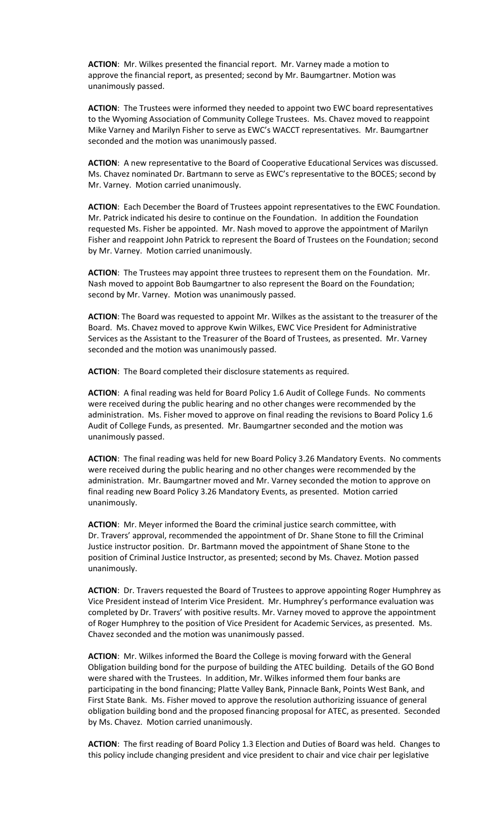**ACTION**: Mr. Wilkes presented the financial report. Mr. Varney made a motion to approve the financial report, as presented; second by Mr. Baumgartner. Motion was unanimously passed.

**ACTION**: The Trustees were informed they needed to appoint two EWC board representatives to the Wyoming Association of Community College Trustees. Ms. Chavez moved to reappoint Mike Varney and Marilyn Fisher to serve as EWC's WACCT representatives. Mr. Baumgartner seconded and the motion was unanimously passed.

**ACTION**: A new representative to the Board of Cooperative Educational Services was discussed. Ms. Chavez nominated Dr. Bartmann to serve as EWC's representative to the BOCES; second by Mr. Varney. Motion carried unanimously.

**ACTION**: Each December the Board of Trustees appoint representatives to the EWC Foundation. Mr. Patrick indicated his desire to continue on the Foundation. In addition the Foundation requested Ms. Fisher be appointed. Mr. Nash moved to approve the appointment of Marilyn Fisher and reappoint John Patrick to represent the Board of Trustees on the Foundation; second by Mr. Varney. Motion carried unanimously.

**ACTION**: The Trustees may appoint three trustees to represent them on the Foundation. Mr. Nash moved to appoint Bob Baumgartner to also represent the Board on the Foundation; second by Mr. Varney. Motion was unanimously passed.

**ACTION**: The Board was requested to appoint Mr. Wilkes as the assistant to the treasurer of the Board. Ms. Chavez moved to approve Kwin Wilkes, EWC Vice President for Administrative Services as the Assistant to the Treasurer of the Board of Trustees, as presented. Mr. Varney seconded and the motion was unanimously passed.

**ACTION**: The Board completed their disclosure statements as required.

**ACTION**: A final reading was held for Board Policy 1.6 Audit of College Funds. No comments were received during the public hearing and no other changes were recommended by the administration. Ms. Fisher moved to approve on final reading the revisions to Board Policy 1.6 Audit of College Funds, as presented. Mr. Baumgartner seconded and the motion was unanimously passed.

**ACTION**: The final reading was held for new Board Policy 3.26 Mandatory Events. No comments were received during the public hearing and no other changes were recommended by the administration. Mr. Baumgartner moved and Mr. Varney seconded the motion to approve on final reading new Board Policy 3.26 Mandatory Events, as presented. Motion carried unanimously.

**ACTION**: Mr. Meyer informed the Board the criminal justice search committee, with Dr. Travers' approval, recommended the appointment of Dr. Shane Stone to fill the Criminal Justice instructor position. Dr. Bartmann moved the appointment of Shane Stone to the position of Criminal Justice Instructor, as presented; second by Ms. Chavez. Motion passed unanimously.

**ACTION**: Dr. Travers requested the Board of Trustees to approve appointing Roger Humphrey as Vice President instead of Interim Vice President. Mr. Humphrey's performance evaluation was completed by Dr. Travers' with positive results. Mr. Varney moved to approve the appointment of Roger Humphrey to the position of Vice President for Academic Services, as presented. Ms. Chavez seconded and the motion was unanimously passed.

**ACTION**: Mr. Wilkes informed the Board the College is moving forward with the General Obligation building bond for the purpose of building the ATEC building. Details of the GO Bond were shared with the Trustees. In addition, Mr. Wilkes informed them four banks are participating in the bond financing; Platte Valley Bank, Pinnacle Bank, Points West Bank, and First State Bank. Ms. Fisher moved to approve the resolution authorizing issuance of general obligation building bond and the proposed financing proposal for ATEC, as presented. Seconded by Ms. Chavez. Motion carried unanimously.

**ACTION**: The first reading of Board Policy 1.3 Election and Duties of Board was held. Changes to this policy include changing president and vice president to chair and vice chair per legislative